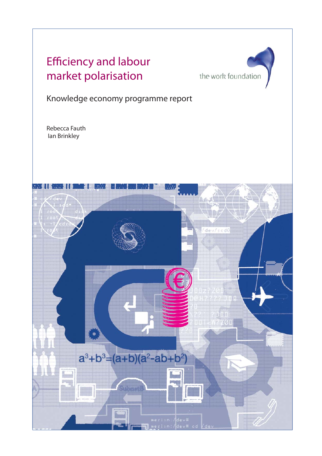# Efficiency and labour market polarisation



Knowledge economy programme report

Rebecca Fauth Ian Brinkley

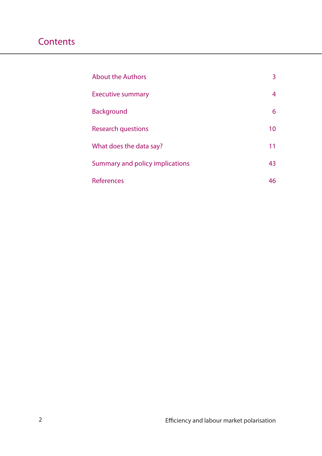| <b>About the Authors</b>        | 3  |
|---------------------------------|----|
| <b>Executive summary</b>        | 4  |
| <b>Background</b>               | 6  |
| <b>Research questions</b>       | 10 |
| What does the data say?         | 11 |
| Summary and policy implications | 43 |
| References                      | 46 |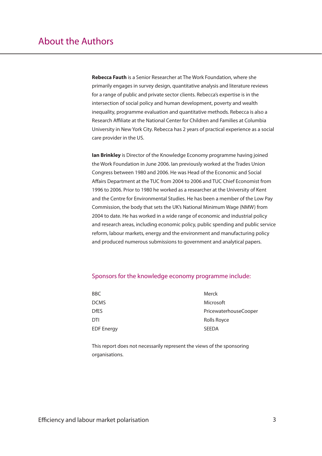**Rebecca Fauth** is a Senior Researcher at The Work Foundation, where she primarily engages in survey design, quantitative analysis and literature reviews for a range of public and private sector clients. Rebecca's expertise is in the intersection of social policy and human development, poverty and wealth inequality, programme evaluation and quantitative methods. Rebecca is also a Research Affiliate at the National Center for Children and Families at Columbia University in New York City. Rebecca has 2 years of practical experience as a social care provider in the US.

**Ian Brinkley** is Director of the Knowledge Economy programme having joined the Work Foundation in June 2006. Ian previously worked at the Trades Union Congress between 1980 and 2006. He was Head of the Economic and Social Affairs Department at the TUC from 2004 to 2006 and TUC Chief Economist from 1996 to 2006. Prior to 1980 he worked as a researcher at the University of Kent and the Centre for Environmental Studies. He has been a member of the Low Pay Commission, the body that sets the UK's National Minimum Wage (NMW) from 2004 to date. He has worked in a wide range of economic and industrial policy and research areas, including economic policy, public spending and public service reform, labour markets, energy and the environment and manufacturing policy and produced numerous submissions to government and analytical papers.

### Sponsors for the knowledge economy programme include:

| BBC               | Merck                 |
|-------------------|-----------------------|
| <b>DCMS</b>       | Microsoft             |
| <b>DfES</b>       | PricewaterhouseCooper |
| DTI               | Rolls Royce           |
| <b>EDF Energy</b> | <b>SEEDA</b>          |
|                   |                       |

This report does not necessarily represent the views of the sponsoring organisations.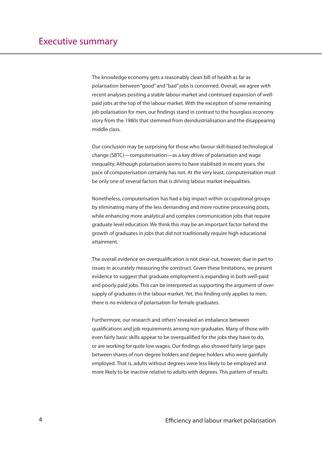The knowledge economy gets a reasonably clean bill of health as far as polarisation between "good" and "bad" jobs is concerned. Overall, we agree with recent analyses positing a stable labour market and continued expansion of wellpaid jobs at the top of the labour market. With the exception of some remaining job polarisation for men, our findings stand in contrast to the hourglass economy story from the 1980s that stemmed from deindustrialisation and the disappearing middle class.

Our conclusion may be surprising for those who favour skill-biased technological change (SBTC)—computerisation—as a key driver of polarisation and wage inequality. Although polarisation seems to have stabilised in recent years, the pace of computerisation certainly has not. At the very least, computerisation must be only one of several factors that is driving labour market inequalities.

Nonetheless, computerisation has had a big impact within occupational groups by eliminating many of the less demanding and more routine processing posts, while enhancing more analytical and complex communication jobs that require graduate level education. We think this may be an important factor behind the growth of graduates in jobs that did not traditionally require high educational attainment.

The overall evidence on overqualification is not clear-cut, however, due in part to issues in accurately measuring the construct. Given these limitations, we present evidence to suggest that graduate employment is expanding in both well-paid and poorly paid jobs. This can be interpreted as supporting the argument of oversupply of graduates in the labour market. Yet, this finding only applies to men; there is no evidence of polarisation for female graduates.

Furthermore, our research and others' revealed an imbalance between qualifications and job requirements among non-graduates. Many of those with even fairly basic skills appear to be overqualified for the jobs they have to do, or are working for quite low wages. Our findings also showed fairly large gaps between shares of non-degree holders and degree holders who were gainfully employed. That is, adults without degrees were less likely to be employed and more likely to be inactive relative to adults with degrees. This pattern of results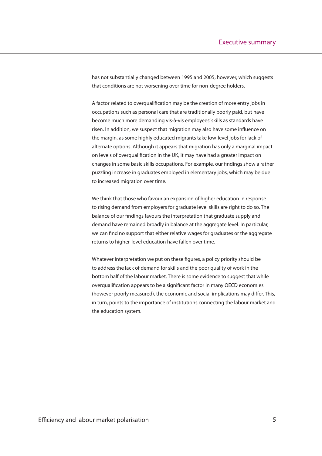has not substantially changed between 1995 and 2005, however, which suggests that conditions are not worsening over time for non-degree holders.

A factor related to overqualification may be the creation of more entry jobs in occupations such as personal care that are traditionally poorly paid, but have become much more demanding vis-à-vis employees' skills as standards have risen. In addition, we suspect that migration may also have some influence on the margin, as some highly educated migrants take low-level jobs for lack of alternate options. Although it appears that migration has only a marginal impact on levels of overqualification in the UK, it may have had a greater impact on changes in some basic skills occupations. For example, our findings show a rather puzzling increase in graduates employed in elementary jobs, which may be due to increased migration over time.

We think that those who favour an expansion of higher education in response to rising demand from employers for graduate level skills are right to do so. The balance of our findings favours the interpretation that graduate supply and demand have remained broadly in balance at the aggregate level. In particular, we can find no support that either relative wages for graduates or the aggregate returns to higher-level education have fallen over time.

Whatever interpretation we put on these figures, a policy priority should be to address the lack of demand for skills and the poor quality of work in the bottom half of the labour market. There is some evidence to suggest that while overqualification appears to be a significant factor in many OECD economies (however poorly measured), the economic and social implications may differ. This, in turn, points to the importance of institutions connecting the labour market and the education system.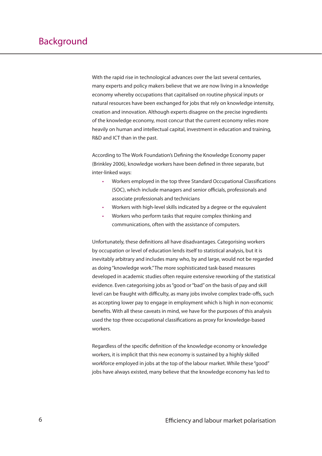With the rapid rise in technological advances over the last several centuries, many experts and policy makers believe that we are now living in a knowledge economy whereby occupations that capitalised on routine physical inputs or natural resources have been exchanged for jobs that rely on knowledge intensity, creation and innovation. Although experts disagree on the precise ingredients of the knowledge economy, most concur that the current economy relies more heavily on human and intellectual capital, investment in education and training, R&D and ICT than in the past.

According to The Work Foundation's Defining the Knowledge Economy paper (Brinkley 2006), knowledge workers have been defined in three separate, but inter-linked ways:

- Workers employed in the top three Standard Occupational Classifications (SOC), which include managers and senior officials, professionals and associate professionals and technicians •
- Workers with high-level skills indicated by a degree or the equivalent •
- Workers who perform tasks that require complex thinking and communications, often with the assistance of computers. •

Unfortunately, these definitions all have disadvantages. Categorising workers by occupation or level of education lends itself to statistical analysis, but it is inevitably arbitrary and includes many who, by and large, would not be regarded as doing "knowledge work." The more sophisticated task-based measures developed in academic studies often require extensive reworking of the statistical evidence. Even categorising jobs as "good or "bad" on the basis of pay and skill level can be fraught with difficulty, as many jobs involve complex trade-offs, such as accepting lower pay to engage in employment which is high in non-economic benefits. With all these caveats in mind, we have for the purposes of this analysis used the top three occupational classifications as proxy for knowledge-based workers.

Regardless of the specific definition of the knowledge economy or knowledge workers, it is implicit that this new economy is sustained by a highly skilled workforce employed in jobs at the top of the labour market. While these "good" jobs have always existed, many believe that the knowledge economy has led to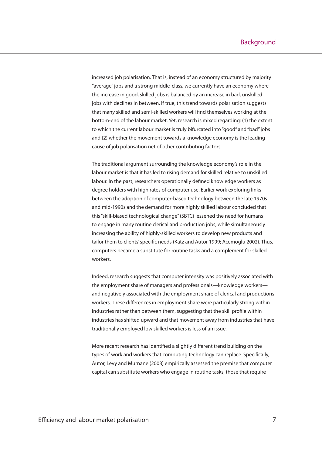increased job polarisation. That is, instead of an economy structured by majority "average" jobs and a strong middle-class, we currently have an economy where the increase in good, skilled jobs is balanced by an increase in bad, unskilled jobs with declines in between. If true, this trend towards polarisation suggests that many skilled and semi-skilled workers will find themselves working at the bottom-end of the labour market. Yet, research is mixed regarding: (1) the extent to which the current labour market is truly bifurcated into "good" and "bad" jobs and (2) whether the movement towards a knowledge economy is the leading cause of job polarisation net of other contributing factors.

The traditional argument surrounding the knowledge economy's role in the labour market is that it has led to rising demand for skilled relative to unskilled labour. In the past, researchers operationally defined knowledge workers as degree holders with high rates of computer use. Earlier work exploring links between the adoption of computer-based technology between the late 1970s and mid-1990s and the demand for more highly skilled labour concluded that this "skill-biased technological change" (SBTC) lessened the need for humans to engage in many routine clerical and production jobs, while simultaneously increasing the ability of highly-skilled workers to develop new products and tailor them to clients' specific needs (Katz and Autor 1999; Acemoglu 2002). Thus, computers became a substitute for routine tasks and a complement for skilled workers.

Indeed, research suggests that computer intensity was positively associated with the employment share of managers and professionals—knowledge workers and negatively associated with the employment share of clerical and productions workers. These differences in employment share were particularly strong within industries rather than between them, suggesting that the skill profile within industries has shifted upward and that movement away from industries that have traditionally employed low skilled workers is less of an issue.

More recent research has identified a slightly different trend building on the types of work and workers that computing technology can replace. Specifically, Autor, Levy and Murnane (2003) empirically assessed the premise that computer capital can substitute workers who engage in routine tasks, those that require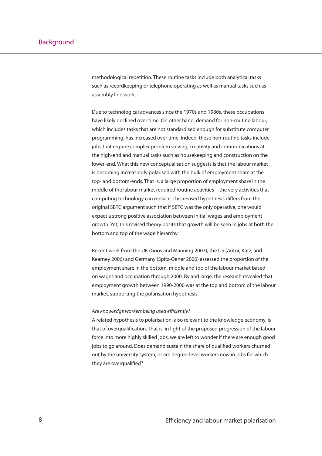methodological repetition. These routine tasks include both analytical tasks such as recordkeeping or telephone operating as well as manual tasks such as assembly line work.

Due to technological advances since the 1970s and 1980s, these occupations have likely declined over time. On other hand, demand for non-routine labour, which includes tasks that are not standardised enough for substitute computer programming, has increased over time. Indeed, these non-routine tasks include jobs that require complex problem solving, creativity and communications at the high-end and manual tasks such as housekeeping and construction on the lower-end. What this new conceptualisation suggests is that the labour market is becoming increasingly polarised with the bulk of employment share at the top- and bottom-ends. That is, a large proportion of employment share in the middle of the labour market required routine activities—the very activities that computing technology can replace. This revised hypothesis differs from the original SBTC argument such that if SBTC was the only operative, one would expect a strong positive association between initial wages and employment growth. Yet, this revised theory posits that growth will be seen in jobs at both the bottom and top of the wage hierarchy.

Recent work from the UK (Goos and Manning 2003), the US (Autor, Katz, and Kearney 2006) and Germany (Spitz-Oener 2006) assessed the proportion of the employment share in the bottom, middle and top of the labour market based on wages and occupation through 2000. By and large, the research revealed that employment growth between 1990-2000 was at the top and bottom of the labour market, supporting the polarisation hypothesis.

### Are knowledge workers being used efficiently?

A related hypothesis to polarisation, also relevant to the knowledge economy, is that of overqualification. That is, in light of the proposed progression of the labour force into more highly skilled jobs, we are left to wonder if there are enough good jobs to go around. Does demand sustain the share of qualified workers churned out by the university system, or are degree-level workers now in jobs for which they are overqualified?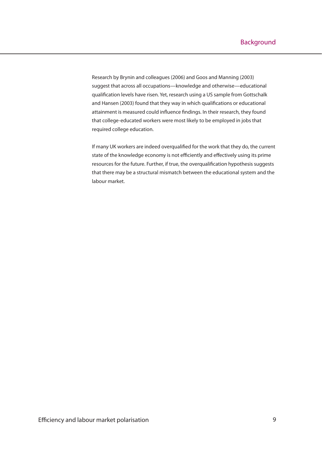Research by Brynin and colleagues (2006) and Goos and Manning (2003) suggest that across all occupations—knowledge and otherwise—educational qualification levels have risen. Yet, research using a US sample from Gottschalk and Hansen (2003) found that they way in which qualifications or educational attainment is measured could influence findings. In their research, they found that college-educated workers were most likely to be employed in jobs that required college education.

If many UK workers are indeed overqualified for the work that they do, the current state of the knowledge economy is not efficiently and effectively using its prime resources for the future. Further, if true, the overqualification hypothesis suggests that there may be a structural mismatch between the educational system and the labour market.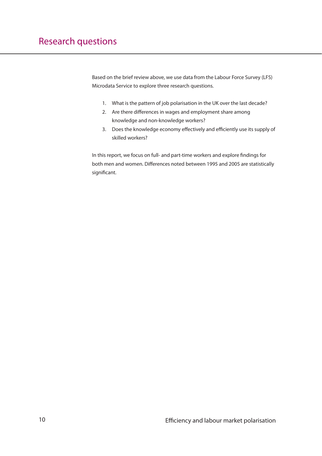Based on the brief review above, we use data from the Labour Force Survey (LFS) Microdata Service to explore three research questions.

- What is the pattern of job polarisation in the UK over the last decade? 1.
- 2. Are there differences in wages and employment share among knowledge and non-knowledge workers?
- 3. Does the knowledge economy effectively and efficiently use its supply of skilled workers?

In this report, we focus on full- and part-time workers and explore findings for both men and women. Differences noted between 1995 and 2005 are statistically significant.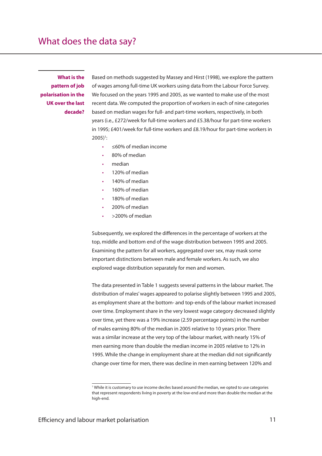**What is the pattern of job polarisation in the UK over the last decade?** Based on methods suggested by Massey and Hirst (1998), we explore the pattern of wages among full-time UK workers using data from the Labour Force Survey. We focused on the years 1995 and 2005, as we wanted to make use of the most recent data. We computed the proportion of workers in each of nine categories based on median wages for full- and part-time workers, respectively, in both years (i.e., £272/week for full-time workers and £5.38/hour for part-time workers in 1995; £401/week for full-time workers and £8.19/hour for part-time workers in  $2005$ <sup>1</sup>:

- ≤60% of median income •
- 80% of median •
- median •
- 120% of median •
- 140% of median •
- 160% of median •
- 180% of median •
- 200% of median •
- >200% of median •

Subsequently, we explored the differences in the percentage of workers at the top, middle and bottom end of the wage distribution between 1995 and 2005. Examining the pattern for all workers, aggregated over sex, may mask some important distinctions between male and female workers. As such, we also explored wage distribution separately for men and women.

The data presented in Table 1 suggests several patterns in the labour market. The distribution of males' wages appeared to polarise slightly between 1995 and 2005, as employment share at the bottom- and top-ends of the labour market increased over time. Employment share in the very lowest wage category decreased slightly over time, yet there was a 19% increase (2.59 percentage points) in the number of males earning 80% of the median in 2005 relative to 10 years prior. There was a similar increase at the very top of the labour market, with nearly 15% of men earning more than double the median income in 2005 relative to 12% in 1995. While the change in employment share at the median did not significantly change over time for men, there was decline in men earning between 120% and

<sup>1</sup> While it is customary to use income deciles based around the median, we opted to use categories that represent respondents living in poverty at the low-end and more than double the median at the high-end.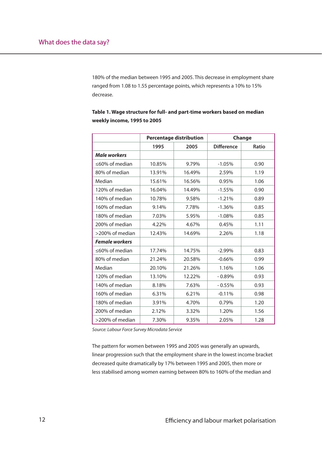180% of the median between 1995 and 2005. This decrease in employment share ranged from 1.08 to 1.55 percentage points, which represents a 10% to 15% decrease.

|                       | <b>Percentage distribution</b> |        |                   | Change |
|-----------------------|--------------------------------|--------|-------------------|--------|
|                       | 1995                           | 2005   | <b>Difference</b> | Ratio  |
| <b>Male workers</b>   |                                |        |                   |        |
| ≤60% of median        | 10.85%                         | 9.79%  | $-1.05%$          | 0.90   |
| 80% of median         | 13.91%                         | 16.49% | 2.59%             | 1.19   |
| Median                | 15.61%                         | 16.56% | 0.95%             | 1.06   |
| 120% of median        | 16.04%                         | 14.49% | $-1.55%$          | 0.90   |
| 140% of median        | 10.78%                         | 9.58%  | $-1.21%$          | 0.89   |
| 160% of median        | 9.14%                          | 7.78%  | $-1.36%$          | 0.85   |
| 180% of median        | 7.03%                          | 5.95%  | $-1.08%$          | 0.85   |
| 200% of median        | 4.22%                          | 4.67%  | 0.45%             | 1.11   |
| >200% of median       | 12.43%                         | 14.69% | 2.26%             | 1.18   |
| <b>Female workers</b> |                                |        |                   |        |
| ≤60% of median        | 17.74%                         | 14.75% | $-2.99%$          | 0.83   |
| 80% of median         | 21.24%                         | 20.58% | $-0.66%$          | 0.99   |
| Median                | 20.10%                         | 21.26% | 1.16%             | 1.06   |
| 120% of median        | 13.10%                         | 12.22% | $-0.89%$          | 0.93   |
| 140% of median        | 8.18%                          | 7.63%  | $-0.55%$          | 0.93   |
| 160% of median        | 6.31%                          | 6.21%  | $-0.11%$          | 0.98   |
| 180% of median        | 3.91%                          | 4.70%  | 0.79%             | 1.20   |
| 200% of median        | 2.12%                          | 3.32%  | 1.20%             | 1.56   |
| >200% of median       | 7.30%                          | 9.35%  | 2.05%             | 1.28   |

**Table 1. Wage structure for full- and part-time workers based on median weekly income, 1995 to 2005**

Source: Labour Force Survey Microdata Service

The pattern for women between 1995 and 2005 was generally an upwards, linear progression such that the employment share in the lowest income bracket decreased quite dramatically by 17% between 1995 and 2005, then more or less stabilised among women earning between 80% to 160% of the median and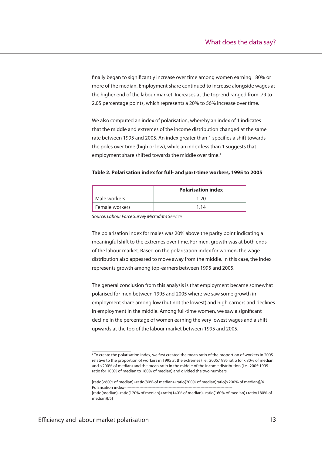finally began to significantly increase over time among women earning 180% or more of the median. Employment share continued to increase alongside wages at the higher end of the labour market. Increases at the top-end ranged from .79 to 2.05 percentage points, which represents a 20% to 56% increase over time.

We also computed an index of polarisation, whereby an index of 1 indicates that the middle and extremes of the income distribution changed at the same rate between 1995 and 2005. An index greater than 1 specifies a shift towards the poles over time (high or low), while an index less than 1 suggests that employment share shifted towards the middle over time.<sup>2</sup>

#### **Table 2. Polarisation index for full- and part-time workers, 1995 to 2005**

|                | <b>Polarisation index</b> |
|----------------|---------------------------|
| l Male workers | 1 20                      |
| Female workers | 1 14                      |

Source: Labour Force Survey Microdata Service

The polarisation index for males was 20% above the parity point indicating a meaningful shift to the extremes over time. For men, growth was at both ends of the labour market. Based on the polarisation index for women, the wage distribution also appeared to move away from the middle. In this case, the index represents growth among top-earners between 1995 and 2005.

The general conclusion from this analysis is that employment became somewhat polarised for men between 1995 and 2005 where we saw some growth in employment share among low (but not the lowest) and high earners and declines in employment in the middle. Among full-time women, we saw a significant decline in the percentage of women earning the very lowest wages and a shift upwards at the top of the labour market between 1995 and 2005.

<sup>&</sup>lt;sup>2</sup> To create the polarisation index, we first created the mean ratio of the proportion of workers in 2005 relative to the proportion of workers in 1995 at the extremes (i.e., 2005:1995 ratio for <80% of median and >200% of median) and the mean ratio in the middle of the income distribution (i.e., 2005:1995 ratio for 100% of median to 180% of median) and divided the two numbers.

<sup>[</sup>ratio(<60% of median)+ratio(80% of median)+ratio(200% of median)ratio(>200% of median)]/4 Polarisation index=

<sup>[</sup>ratio(median)+ratio(120% of median)+ratio(140% of median)+ratio(160% of median)+ratio(180% of median)]/5]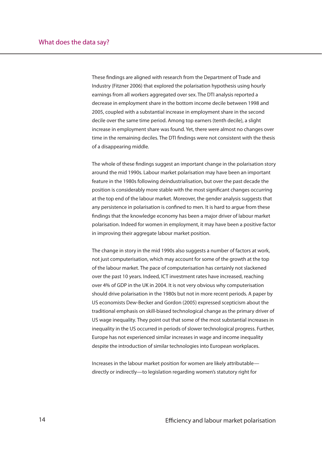These findings are aligned with research from the Department of Trade and Industry (Fitzner 2006) that explored the polarisation hypothesis using hourly earnings from all workers aggregated over sex. The DTI analysis reported a decrease in employment share in the bottom income decile between 1998 and 2005, coupled with a substantial increase in employment share in the second decile over the same time period. Among top earners (tenth decile), a slight increase in employment share was found. Yet, there were almost no changes over time in the remaining deciles. The DTI findings were not consistent with the thesis of a disappearing middle.

The whole of these findings suggest an important change in the polarisation story around the mid 1990s. Labour market polarisation may have been an important feature in the 1980s following deindustrialisation, but over the past decade the position is considerably more stable with the most significant changes occurring at the top end of the labour market. Moreover, the gender analysis suggests that any persistence in polarisation is confined to men. It is hard to argue from these findings that the knowledge economy has been a major driver of labour market polarisation. Indeed for women in employment, it may have been a positive factor in improving their aggregate labour market position.

The change in story in the mid 1990s also suggests a number of factors at work, not just computerisation, which may account for some of the growth at the top of the labour market. The pace of computerisation has certainly not slackened over the past 10 years. Indeed, ICT investment rates have increased, reaching over 4% of GDP in the UK in 2004. It is not very obvious why computerisation should drive polarisation in the 1980s but not in more recent periods. A paper by US economists Dew-Becker and Gordon (2005) expressed scepticism about the traditional emphasis on skill-biased technological change as the primary driver of US wage inequality. They point out that some of the most substantial increases in inequality in the US occurred in periods of slower technological progress. Further, Europe has not experienced similar increases in wage and income inequality despite the introduction of similar technologies into European workplaces.

Increases in the labour market position for women are likely attributable directly or indirectly—to legislation regarding women's statutory right for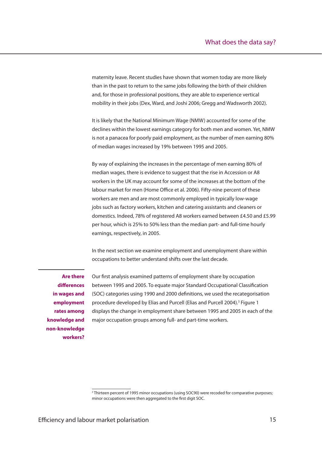maternity leave. Recent studies have shown that women today are more likely than in the past to return to the same jobs following the birth of their children and, for those in professional positions, they are able to experience vertical mobility in their jobs (Dex, Ward, and Joshi 2006; Gregg and Wadsworth 2002).

It is likely that the National Minimum Wage (NMW) accounted for some of the declines within the lowest earnings category for both men and women. Yet, NMW is not a panacea for poorly paid employment, as the number of men earning 80% of median wages increased by 19% between 1995 and 2005.

By way of explaining the increases in the percentage of men earning 80% of median wages, there is evidence to suggest that the rise in Accession or A8 workers in the UK may account for some of the increases at the bottom of the labour market for men (Home Office et al. 2006). Fifty-nine percent of these workers are men and are most commonly employed in typically low-wage jobs such as factory workers, kitchen and catering assistants and cleaners or domestics. Indeed, 78% of registered A8 workers earned between £4.50 and £5.99 per hour, which is 25% to 50% less than the median part- and full-time hourly earnings, respectively, in 2005.

In the next section we examine employment and unemployment share within occupations to better understand shifts over the last decade.

**Are there diff erences in wages and employment rates among knowledge and non-knowledge workers?**

Our first analysis examined patterns of employment share by occupation between 1995 and 2005. To equate major Standard Occupational Classification (SOC) categories using 1990 and 2000 definitions, we used the recategorisation procedure developed by Elias and Purcell (Elias and Purcell 2004).<sup>3</sup> Figure 1 displays the change in employment share between 1995 and 2005 in each of the major occupation groups among full- and part-time workers.

<sup>&</sup>lt;sup>3</sup> Thirteen percent of 1995 minor occupations (using SOC90) were recoded for comparative purposes; minor occupations were then aggregated to the first digit SOC.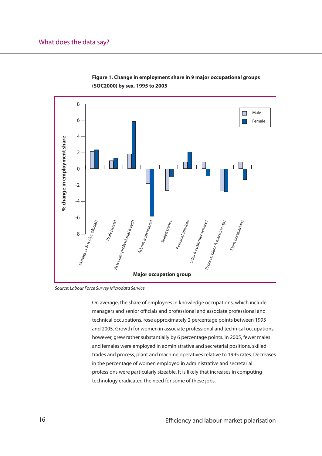

**Figure 1. Change in employment share in 9 major occupational groups (SOC2000) by sex, 1995 to 2005**

Source: Labour Force Survey Microdata Service

On average, the share of employees in knowledge occupations, which include managers and senior officials and professional and associate professional and technical occupations, rose approximately 2 percentage points between 1995 and 2005. Growth for women in associate professional and technical occupations, however, grew rather substantially by 6 percentage points. In 2005, fewer males and females were employed in administrative and secretarial positions, skilled trades and process, plant and machine operatives relative to 1995 rates. Decreases in the percentage of women employed in administrative and secretarial professions were particularly sizeable. It is likely that increases in computing technology eradicated the need for some of these jobs.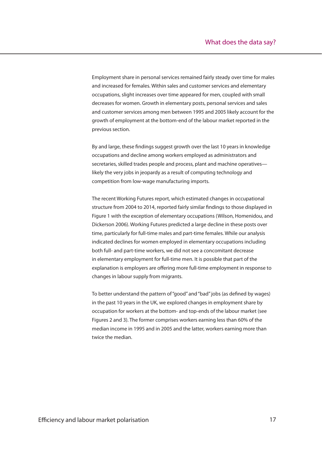Employment share in personal services remained fairly steady over time for males and increased for females. Within sales and customer services and elementary occupations, slight increases over time appeared for men, coupled with small decreases for women. Growth in elementary posts, personal services and sales and customer services among men between 1995 and 2005 likely account for the growth of employment at the bottom-end of the labour market reported in the previous section.

By and large, these findings suggest growth over the last 10 years in knowledge occupations and decline among workers employed as administrators and secretaries, skilled trades people and process, plant and machine operatives likely the very jobs in jeopardy as a result of computing technology and competition from low-wage manufacturing imports.

The recent Working Futures report, which estimated changes in occupational structure from 2004 to 2014, reported fairly similar findings to those displayed in Figure 1 with the exception of elementary occupations (Wilson, Homenidou, and Dickerson 2006). Working Futures predicted a large decline in these posts over time, particularly for full-time males and part-time females. While our analysis indicated declines for women employed in elementary occupations including both full- and part-time workers, we did not see a concomitant decrease in elementary employment for full-time men. It is possible that part of the explanation is employers are offering more full-time employment in response to changes in labour supply from migrants.

To better understand the pattern of "good" and "bad" jobs (as defined by wages) in the past 10 years in the UK, we explored changes in employment share by occupation for workers at the bottom- and top-ends of the labour market (see Figures 2 and 3). The former comprises workers earning less than 60% of the median income in 1995 and in 2005 and the latter, workers earning more than twice the median.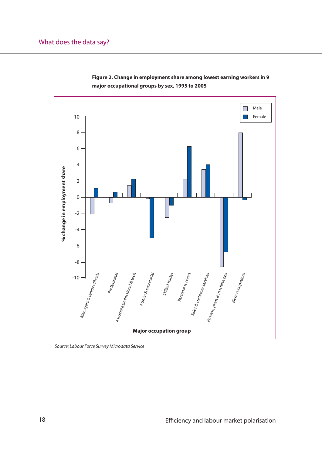

**Figure 2. Change in employment share among lowest earning workers in 9 major occupational groups by sex, 1995 to 2005**

Source: Labour Force Survey Microdata Service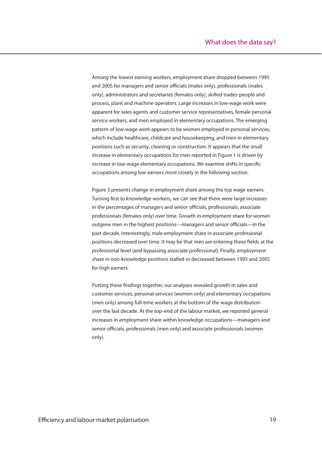Among the lowest earning workers, employment share dropped between 1995 and 2005 for managers and senior officials (males only), professionals (males only), administrators and secretaries (females only), skilled trades-people and process, plant and machine operators. Large increases in low-wage work were apparent for sales agents and customer service representatives, female personal service workers, and men employed in elementary occupations. The emerging pattern of low-wage work appears to be women employed in personal services, which include healthcare, childcare and housekeeping, and men in elementary positions such as security, cleaning or construction. It appears that the small increase in elementary occupations for men reported in Figure 1 is driven by increase in low-wage elementary occupations. We examine shifts in specific occupations among low earners more closely in the following section.

Figure 3 presents change in employment share among the top wage earners. Turning first to knowledge workers, we can see that there were large increases in the percentages of managers and senior officials, professionals, associate professionals (females only) over time. Growth in employment share for women outgrew men in the highest positions—managers and senior officials—in the past decade. Interestingly, male employment share in associate professional positions decreased over time. It may be that men are entering these fields at the professional level (and bypassing associate professional). Finally, employment share in non-knowledge positions stalled or decreased between 1995 and 2005 for high earners.

Putting these findings together, our analyses revealed growth in sales and customer services, personal services (women only) and elementary occupations (men only) among full-time workers at the bottom of the wage distribution over the last decade. At the top-end of the labour market, we reported general increases in employment share within knowledge occupations—managers and senior officials, professionals (men only) and associate professionals (women only).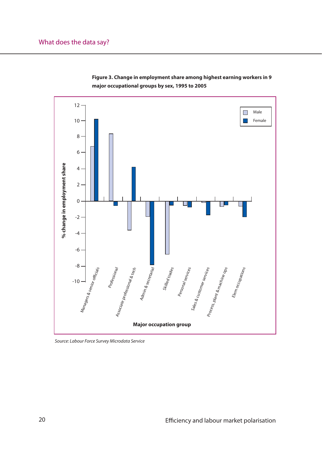



Source: Labour Force Survey Microdata Service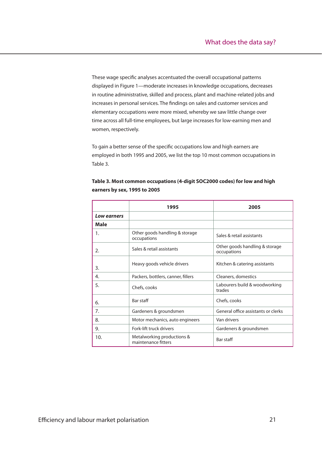These wage specific analyses accentuated the overall occupational patterns displayed in Figure 1—moderate increases in knowledge occupations, decreases in routine administrative, skilled and process, plant and machine-related jobs and increases in personal services. The findings on sales and customer services and elementary occupations were more mixed, whereby we saw little change over time across all full-time employees, but large increases for low-earning men and women, respectively.

To gain a better sense of the specific occupations low and high earners are employed in both 1995 and 2005, we list the top 10 most common occupations in Table 3.

|             | 1995                                              | 2005                                          |
|-------------|---------------------------------------------------|-----------------------------------------------|
| Low earners |                                                   |                                               |
| Male        |                                                   |                                               |
| 1.          | Other goods handling & storage<br>occupations     | Sales & retail assistants                     |
| 2.          | Sales & retail assistants                         | Other goods handling & storage<br>occupations |
| 3.          | Heavy goods vehicle drivers                       | Kitchen & catering assistants                 |
| 4.          | Packers, bottlers, canner, fillers                | Cleaners, domestics                           |
| 5.          | Chefs, cooks                                      | Labourers build & woodworking<br>trades       |
| 6.          | Bar staff                                         | Chefs, cooks                                  |
| 7.          | Gardeners & groundsmen                            | General office assistants or clerks           |
| 8.          | Motor mechanics, auto engineers                   | Van drivers                                   |
| 9.          | Fork-lift truck drivers                           | Gardeners & groundsmen                        |
| 10.         | Metalworking productions &<br>maintenance fitters | Bar staff                                     |

**Table 3. Most common occupations (4-digit SOC2000 codes) for low and high earners by sex, 1995 to 2005**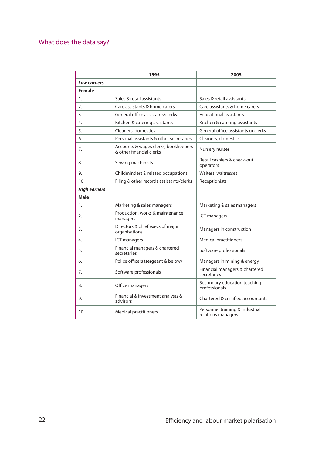## What does the data say?

|                     | 1995                                                             | 2005                                                  |
|---------------------|------------------------------------------------------------------|-------------------------------------------------------|
| Low earners         |                                                                  |                                                       |
| <b>Female</b>       |                                                                  |                                                       |
| $\mathbf{1}$ .      | Sales & retail assistants                                        | Sales & retail assistants                             |
| 2.                  | Care assistants & home carers                                    | Care assistants & home carers                         |
| 3.                  | General office assistants/clerks                                 | <b>Educational assistants</b>                         |
| 4.                  | Kitchen & catering assistants                                    | Kitchen & catering assistants                         |
| 5.                  | Cleaners, domestics                                              | General office assistants or clerks                   |
| 6.                  | Personal assistants & other secretaries                          | Cleaners, domestics                                   |
| 7.                  | Accounts & wages clerks, bookkeepers<br>& other financial clerks | Nursery nurses                                        |
| 8.                  | Sewing machinists                                                | Retail cashiers & check-out<br>operators              |
| 9.                  | Childminders & related occupations                               | Waiters, waitresses                                   |
| 10                  | Filing & other records assistants/clerks                         | Receptionists                                         |
| <b>High earners</b> |                                                                  |                                                       |
| <b>Male</b>         |                                                                  |                                                       |
| 1.                  | Marketing & sales managers                                       | Marketing & sales managers                            |
| 2.                  | Production, works & maintenance<br>managers                      | ICT managers                                          |
| 3.                  | Directors & chief execs of major<br>organisations                | Managers in construction                              |
| 4.                  | <b>ICT</b> managers                                              | <b>Medical practitioners</b>                          |
| 5.                  | Financial managers & chartered<br>secretaries                    | Software professionals                                |
| 6.                  | Police officers (sergeant & below)                               | Managers in mining & energy                           |
| 7.                  | Software professionals                                           | Financial managers & chartered<br>secretaries         |
| 8.                  | Office managers                                                  | Secondary education teaching<br>professionals         |
| 9.                  | Financial & investment analysts &<br>advisors                    | Chartered & certified accountants                     |
| 10.                 | <b>Medical practitioners</b>                                     | Personnel training & industrial<br>relations managers |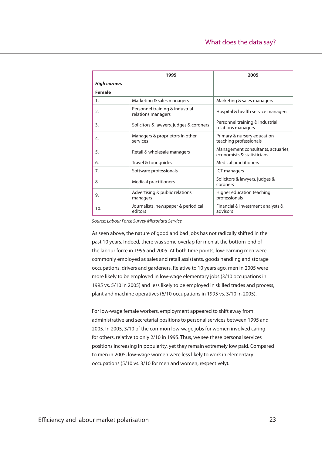|                     | 1995                                                  | 2005                                                             |
|---------------------|-------------------------------------------------------|------------------------------------------------------------------|
| <b>High earners</b> |                                                       |                                                                  |
| <b>Female</b>       |                                                       |                                                                  |
| 1.                  | Marketing & sales managers                            | Marketing & sales managers                                       |
| 2.                  | Personnel training & industrial<br>relations managers | Hospital & health service managers                               |
| 3.                  | Solicitors & lawyers, judges & coroners               | Personnel training & industrial<br>relations managers            |
| 4.                  | Managers & proprietors in other<br>services           | Primary & nursery education<br>teaching professionals            |
| 5.                  | Retail & wholesale managers                           | Management consultants, actuaries,<br>economists & statisticians |
| 6.                  | Travel & tour guides                                  | <b>Medical practitioners</b>                                     |
| 7.                  | Software professionals                                | <b>ICT managers</b>                                              |
| 8.                  | <b>Medical practitioners</b>                          | Solicitors & lawyers, judges &<br>coroners                       |
| 9.                  | Advertising & public relations<br>managers            | Higher education teaching<br>professionals                       |
| 10.                 | Journalists, newspaper & periodical<br>editors        | Financial & investment analysts &<br>advisors                    |

Source: Labour Force Survey Microdata Service

As seen above, the nature of good and bad jobs has not radically shifted in the past 10 years. Indeed, there was some overlap for men at the bottom-end of the labour force in 1995 and 2005. At both time points, low-earning men were commonly employed as sales and retail assistants, goods handling and storage occupations, drivers and gardeners. Relative to 10 years ago, men in 2005 were more likely to be employed in low-wage elementary jobs (3/10 occupations in 1995 vs. 5/10 in 2005) and less likely to be employed in skilled trades and process, plant and machine operatives (6/10 occupations in 1995 vs. 3/10 in 2005).

For low-wage female workers, employment appeared to shift away from administrative and secretarial positions to personal services between 1995 and 2005. In 2005, 3/10 of the common low-wage jobs for women involved caring for others, relative to only 2/10 in 1995. Thus, we see these personal services positions increasing in popularity, yet they remain extremely low paid. Compared to men in 2005, low-wage women were less likely to work in elementary occupations (5/10 vs. 3/10 for men and women, respectively).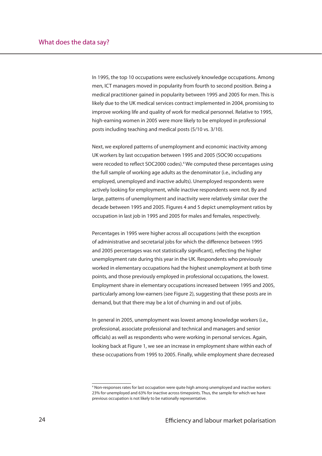In 1995, the top 10 occupations were exclusively knowledge occupations. Among men, ICT managers moved in popularity from fourth to second position. Being a medical practitioner gained in popularity between 1995 and 2005 for men. This is likely due to the UK medical services contract implemented in 2004, promising to improve working life and quality of work for medical personnel. Relative to 1995, high-earning women in 2005 were more likely to be employed in professional posts including teaching and medical posts (5/10 vs. 3/10).

Next, we explored patterns of unemployment and economic inactivity among UK workers by last occupation between 1995 and 2005 (SOC90 occupations were recoded to reflect SOC2000 codes).<sup>4</sup> We computed these percentages using the full sample of working age adults as the denominator (i.e., including any employed, unemployed and inactive adults). Unemployed respondents were actively looking for employment, while inactive respondents were not. By and large, patterns of unemployment and inactivity were relatively similar over the decade between 1995 and 2005. Figures 4 and 5 depict unemployment ratios by occupation in last job in 1995 and 2005 for males and females, respectively.

Percentages in 1995 were higher across all occupations (with the exception of administrative and secretarial jobs for which the difference between 1995 and 2005 percentages was not statistically significant), reflecting the higher unemployment rate during this year in the UK. Respondents who previously worked in elementary occupations had the highest unemployment at both time points, and those previously employed in professional occupations, the lowest. Employment share in elementary occupations increased between 1995 and 2005, particularly among low-earners (see Figure 2), suggesting that these posts are in demand, but that there may be a lot of churning in and out of jobs.

In general in 2005, unemployment was lowest among knowledge workers (i.e., professional, associate professional and technical and managers and senior officials) as well as respondents who were working in personal services. Again, looking back at Figure 1, we see an increase in employment share within each of these occupations from 1995 to 2005. Finally, while employment share decreased

<sup>4</sup> Non-responses rates for last occupation were quite high among unemployed and inactive workers: 23% for unemployed and 63% for inactive across timepoints. Thus, the sample for which we have previous occupation is not likely to be nationally representative.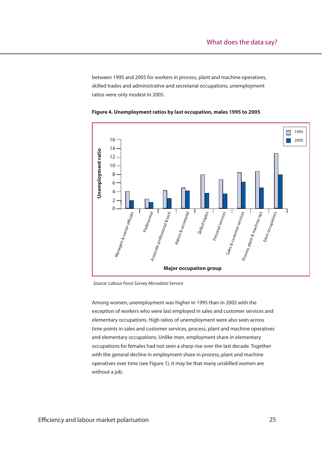between 1995 and 2005 for workers in process, plant and machine operatives, skilled trades and administrative and secretarial occupations, unemployment ratios were only modest in 2005.





Source: Labour Force Survey Microdata Service

Among women, unemployment was higher in 1995 than in 2005 with the exception of workers who were last employed in sales and customer services and elementary occupations. High ratios of unemployment were also seen across time points in sales and customer services, process, plant and machine operatives and elementary occupations. Unlike men, employment share in elementary occupations for females had not seen a sharp rise over the last decade. Together with the general decline in employment share in process, plant and machine operatives over time (see Figure 1), it may be that many unskilled women are without a job.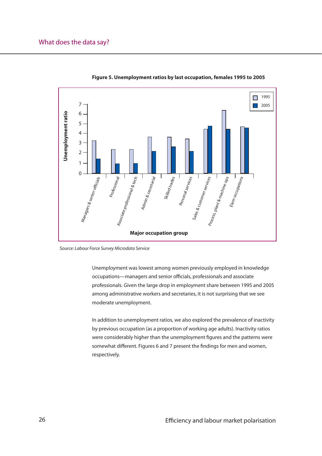

**Figure 5. Unemployment ratios by last occupation, females 1995 to 2005**

Source: Labour Force Survey Microdata Service

Unemployment was lowest among women previously employed in knowledge occupations—managers and senior officials, professionals and associate professionals. Given the large drop in employment share between 1995 and 2005 among administrative workers and secretaries, it is not surprising that we see moderate unemployment.

In addition to unemployment ratios, we also explored the prevalence of inactivity by previous occupation (as a proportion of working age adults). Inactivity ratios were considerably higher than the unemployment figures and the patterns were somewhat different. Figures 6 and 7 present the findings for men and women, respectively.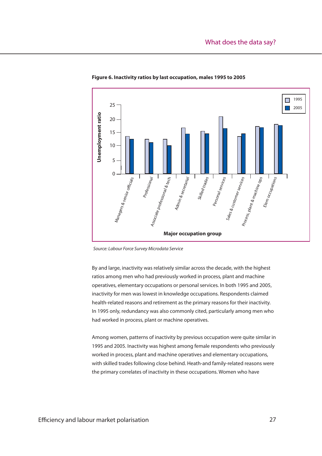

#### **Figure 6. Inactivity ratios by last occupation, males 1995 to 2005**

Source: Labour Force Survey Microdata Service

By and large, inactivity was relatively similar across the decade, with the highest ratios among men who had previously worked in process, plant and machine operatives, elementary occupations or personal services. In both 1995 and 2005, inactivity for men was lowest in knowledge occupations. Respondents claimed health-related reasons and retirement as the primary reasons for their inactivity. In 1995 only, redundancy was also commonly cited, particularly among men who had worked in process, plant or machine operatives.

Among women, patterns of inactivity by previous occupation were quite similar in 1995 and 2005. Inactivity was highest among female respondents who previously worked in process, plant and machine operatives and elementary occupations, with skilled trades following close behind. Heath-and family-related reasons were the primary correlates of inactivity in these occupations. Women who have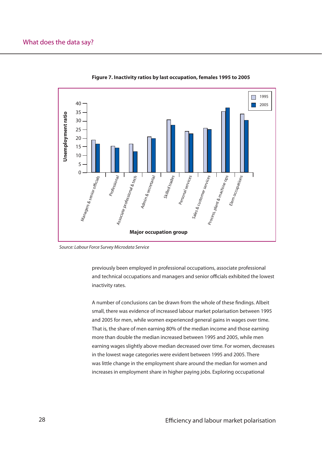

**Figure 7. Inactivity ratios by last occupation, females 1995 to 2005**

Source: Labour Force Survey Microdata Service

previously been employed in professional occupations, associate professional and technical occupations and managers and senior officials exhibited the lowest inactivity rates.

A number of conclusions can be drawn from the whole of these findings. Albeit small, there was evidence of increased labour market polarisation between 1995 and 2005 for men, while women experienced general gains in wages over time. That is, the share of men earning 80% of the median income and those earning more than double the median increased between 1995 and 2005, while men earning wages slightly above median decreased over time. For women, decreases in the lowest wage categories were evident between 1995 and 2005. There was little change in the employment share around the median for women and increases in employment share in higher paying jobs. Exploring occupational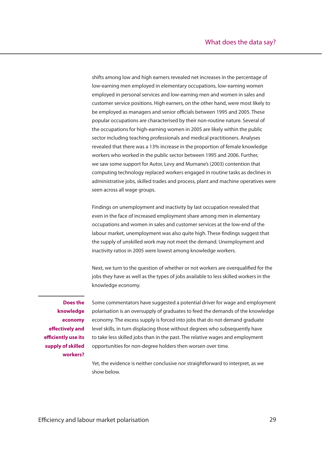shifts among low and high earners revealed net increases in the percentage of low-earning men employed in elementary occupations, low-earning women employed in personal services and low-earning men and women in sales and customer service positions. High earners, on the other hand, were most likely to be employed as managers and senior officials between 1995 and 2005. These popular occupations are characterised by their non-routine nature. Several of the occupations for high-earning women in 2005 are likely within the public sector including teaching professionals and medical practitioners. Analyses revealed that there was a 13% increase in the proportion of female knowledge workers who worked in the public sector between 1995 and 2006. Further, we saw some support for Autor, Levy and Murnane's (2003) contention that computing technology replaced workers engaged in routine tasks as declines in administrative jobs, skilled trades and process, plant and machine operatives were seen across all wage groups.

Findings on unemployment and inactivity by last occupation revealed that even in the face of increased employment share among men in elementary occupations and women in sales and customer services at the low-end of the labour market, unemployment was also quite high. These findings suggest that the supply of unskilled work may not meet the demand. Unemployment and inactivity ratios in 2005 were lowest among knowledge workers.

Next, we turn to the question of whether or not workers are overqualified for the jobs they have as well as the types of jobs available to less skilled workers in the knowledge economy.

**Does the knowledge economy effectively and efficiently use its supply of skilled workers?**

Some commentators have suggested a potential driver for wage and employment polarisation is an oversupply of graduates to feed the demands of the knowledge economy. The excess supply is forced into jobs that do not demand graduate level skills, in turn displacing those without degrees who subsequently have to take less skilled jobs than in the past. The relative wages and employment opportunities for non-degree holders then worsen over time.

Yet, the evidence is neither conclusive nor straightforward to interpret, as we show below.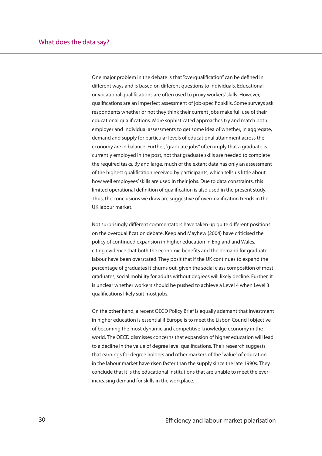One major problem in the debate is that "overqualification" can be defined in different ways and is based on different questions to individuals. Educational or vocational qualifications are often used to proxy workers' skills. However, qualifications are an imperfect assessment of job-specific skills. Some surveys ask respondents whether or not they think their current jobs make full use of their educational qualifications. More sophisticated approaches try and match both employer and individual assessments to get some idea of whether, in aggregate, demand and supply for particular levels of educational attainment across the economy are in balance. Further, "graduate jobs" often imply that a graduate is currently employed in the post, not that graduate skills are needed to complete the required tasks. By and large, much of the extant data has only an assessment of the highest qualification received by participants, which tells us little about how well employees' skills are used in their jobs. Due to data constraints, this limited operational definition of qualification is also used in the present study. Thus, the conclusions we draw are suggestive of overgualification trends in the UK labour market.

Not surprisingly different commentators have taken up quite different positions on the overqualification debate. Keep and Mayhew (2004) have criticised the policy of continued expansion in higher education in England and Wales, citing evidence that both the economic benefits and the demand for graduate labour have been overstated. They posit that if the UK continues to expand the percentage of graduates it churns out, given the social class composition of most graduates, social mobility for adults without degrees will likely decline. Further, it is unclear whether workers should be pushed to achieve a Level 4 when Level 3 qualifications likely suit most jobs.

On the other hand, a recent OECD Policy Brief is equally adamant that investment in higher education is essential if Europe is to meet the Lisbon Council objective of becoming the most dynamic and competitive knowledge economy in the world. The OECD dismisses concerns that expansion of higher education will lead to a decline in the value of degree level qualifications. Their research suggests that earnings for degree holders and other markers of the "value" of education in the labour market have risen faster than the supply since the late 1990s. They conclude that it is the educational institutions that are unable to meet the everincreasing demand for skills in the workplace.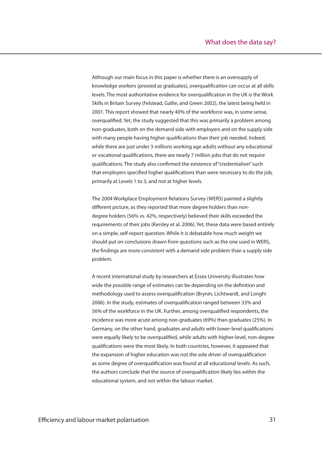Although our main focus in this paper is whether there is an oversupply of knowledge workers (proxied as graduates), overqualification can occur at all skills levels. The most authoritative evidence for overqualification in the UK is the Work Skills in Britain Survey (Felstead, Gallie, and Green 2002), the latest being held in 2001. This report showed that nearly 40% of the workforce was, in some sense, overqualified. Yet, the study suggested that this was primarily a problem among non-graduates, both on the demand side with employers and on the supply side with many people having higher qualifications than their job needed. Indeed, while there are just under 3 millions working age adults without any educational or vocational qualifications, there are nearly 7 million jobs that do not require qualifications. The study also confirmed the existence of "credentialism" such that employers specified higher qualifications than were necessary to do the job, primarily at Levels 1 to 3, and not at higher levels.

The 2004 Workplace Employment Relations Survey (WERS) painted a slightly different picture, as they reported that more degree holders than nondegree holders (56% vs. 42%, respectively) believed their skills exceeded the requirements of their jobs (Kersley et al. 2006). Yet, these data were based entirely on a simple, self-report question. While it is debatable how much weight we should put on conclusions drawn from questions such as the one used in WERS, the findings are more consistent with a demand side problem than a supply side problem.

A recent international study by researchers at Essex University illustrates how wide the possible range of estimates can be depending on the definition and methodology used to assess overqualification (Brynin, Lichtwardt, and Longhi 2006). In the study, estimates of overqualification ranged between 33% and 56% of the workforce in the UK. Further, among overqualified respondents, the incidence was more acute among non-graduates (69%) than graduates (25%). In Germany, on the other hand, graduates and adults with lower-level qualifications were equally likely to be overqualified, while adults with higher-level, non-degree qualifications were the most likely. In both countries, however, it appeared that the expansion of higher education was not the sole driver of overqualification as some degree of overqualification was found at all educational levels. As such, the authors conclude that the source of overqualification likely lies within the educational system, and not within the labour market.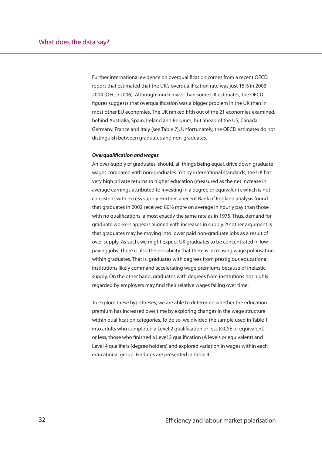Further international evidence on overqualification comes from a recent OECD report that estimated that the UK's overqualification rate was just 15% in 2003-2004 (OECD 2006). Although much lower than some UK estimates, the OECD figures suggests that overgualification was a bigger problem in the UK than in most other EU economies. The UK ranked fifth out of the 21 economies examined, behind Australia, Spain, Ireland and Belgium, but ahead of the US, Canada, Germany, France and Italy (see Table 7). Unfortunately, the OECD estimates do not distinguish between graduates and non-graduates.

### *Overqualifi cation and wages*

An over-supply of graduates, should, all things being equal, drive down graduate wages compared with non-graduates. Yet by international standards, the UK has very high private returns to higher education (measured as the net increase in average earnings attributed to investing in a degree or equivalent), which is not consistent with excess supply. Further, a recent Bank of England analysis found that graduates in 2002 received 80% more on average in hourly pay than those with no qualifications, almost exactly the same rate as in 1975. Thus, demand for graduate workers appears aligned with increases in supply. Another argument is that graduates may be moving into lower paid non-graduate jobs as a result of over-supply. As such, we might expect UK graduates to be concentrated in low paying jobs. There is also the possibility that there is increasing wage polarisation within graduates. That is, graduates with degrees from prestigious educational institutions likely command accelerating wage premiums because of inelastic supply. On the other hand, graduates with degrees from institutions not highly regarded by employers may find their relative wages falling over time.

To explore these hypotheses, we are able to determine whether the education premium has increased over time by exploring changes in the wage structure within qualification categories. To do so, we divided the sample used in Table 1 into adults who completed a Level 2 qualification or less (GCSE or equivalent) or less, those who finished a Level 3 qualification (A levels or equivalent) and Level 4 qualifiers (degree holders) and explored variation in wages within each educational group. Findings are presented in Table 4.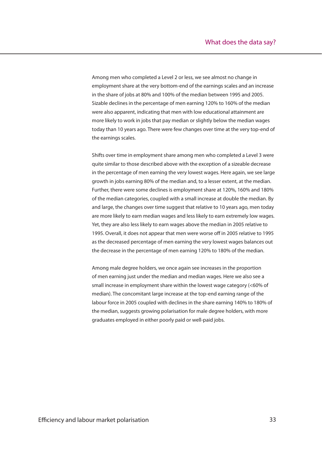Among men who completed a Level 2 or less, we see almost no change in employment share at the very bottom-end of the earnings scales and an increase in the share of jobs at 80% and 100% of the median between 1995 and 2005. Sizable declines in the percentage of men earning 120% to 160% of the median were also apparent, indicating that men with low educational attainment are more likely to work in jobs that pay median or slightly below the median wages today than 10 years ago. There were few changes over time at the very top-end of the earnings scales.

Shifts over time in employment share among men who completed a Level 3 were quite similar to those described above with the exception of a sizeable decrease in the percentage of men earning the very lowest wages. Here again, we see large growth in jobs earning 80% of the median and, to a lesser extent, at the median. Further, there were some declines is employment share at 120%, 160% and 180% of the median categories, coupled with a small increase at double the median. By and large, the changes over time suggest that relative to 10 years ago, men today are more likely to earn median wages and less likely to earn extremely low wages. Yet, they are also less likely to earn wages above the median in 2005 relative to 1995. Overall, it does not appear that men were worse off in 2005 relative to 1995 as the decreased percentage of men earning the very lowest wages balances out the decrease in the percentage of men earning 120% to 180% of the median.

Among male degree holders, we once again see increases in the proportion of men earning just under the median and median wages. Here we also see a small increase in employment share within the lowest wage category (<60% of median). The concomitant large increase at the top-end earning range of the labour force in 2005 coupled with declines in the share earning 140% to 180% of the median, suggests growing polarisation for male degree holders, with more graduates employed in either poorly paid or well-paid jobs.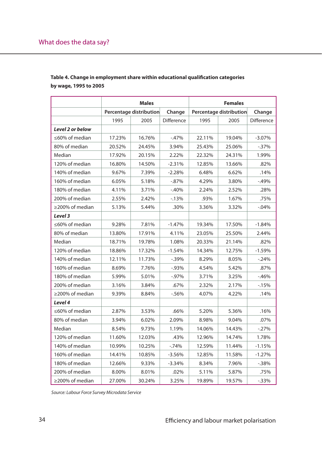|                  | <b>Males</b>            |        |            | <b>Females</b>          |        |            |
|------------------|-------------------------|--------|------------|-------------------------|--------|------------|
|                  | Percentage distribution |        | Change     | Percentage distribution |        | Change     |
|                  | 1995                    | 2005   | Difference | 1995                    | 2005   | Difference |
| Level 2 or below |                         |        |            |                         |        |            |
| ≤60% of median   | 17.23%                  | 16.76% | $-47%$     | 22.11%                  | 19.04% | $-3.07%$   |
| 80% of median    | 20.52%                  | 24.45% | 3.94%      | 25.43%                  | 25.06% | $-0.37\%$  |
| Median           | 17.92%                  | 20.15% | 2.22%      | 22.32%                  | 24.31% | 1.99%      |
| 120% of median   | 16.80%                  | 14.50% | $-2.31%$   | 12.85%                  | 13.66% | .82%       |
| 140% of median   | 9.67%                   | 7.39%  | $-2.28%$   | 6.48%                   | 6.62%  | .14%       |
| 160% of median   | 6.05%                   | 5.18%  | $-0.87%$   | 4.29%                   | 3.80%  | $-.49%$    |
| 180% of median   | 4.11%                   | 3.71%  | $-40%$     | 2.24%                   | 2.52%  | .28%       |
| 200% of median   | 2.55%                   | 2.42%  | $-13%$     | .93%                    | 1.67%  | .75%       |
| ≥200% of median  | 5.13%                   | 5.44%  | .30%       | 3.36%                   | 3.32%  | $-0.04%$   |
| Level 3          |                         |        |            |                         |        |            |
| ≤60% of median   | 9.28%                   | 7.81%  | $-1.47%$   | 19.34%                  | 17.50% | $-1.84%$   |
| 80% of median    | 13.80%                  | 17.91% | 4.11%      | 23.05%                  | 25.50% | 2.44%      |
| Median           | 18.71%                  | 19.78% | 1.08%      | 20.33%                  | 21.14% | .82%       |
| 120% of median   | 18.86%                  | 17.32% | $-1.54%$   | 14.34%                  | 12.75% | $-1.59%$   |
| 140% of median   | 12.11%                  | 11.73% | $-0.39%$   | 8.29%                   | 8.05%  | $-.24%$    |
| 160% of median   | 8.69%                   | 7.76%  | $-0.93%$   | 4.54%                   | 5.42%  | .87%       |
| 180% of median   | 5.99%                   | 5.01%  | $-0.97\%$  | 3.71%                   | 3.25%  | $-46%$     |
| 200% of median   | 3.16%                   | 3.84%  | .67%       | 2.32%                   | 2.17%  | $-15%$     |
| ≥200% of median  | 9.39%                   | 8.84%  | $-0.56%$   | 4.07%                   | 4.22%  | .14%       |
| Level 4          |                         |        |            |                         |        |            |
| ≤60% of median   | 2.87%                   | 3.53%  | .66%       | 5.20%                   | 5.36%  | .16%       |
| 80% of median    | 3.94%                   | 6.02%  | 2.09%      | 8.98%                   | 9.04%  | .07%       |
| Median           | 8.54%                   | 9.73%  | 1.19%      | 14.06%                  | 14.43% | $-.27%$    |
| 120% of median   | 11.60%                  | 12.03% | .43%       | 12.96%                  | 14.74% | 1.78%      |
| 140% of median   | 10.99%                  | 10.25% | $-74%$     | 12.59%                  | 11.44% | $-1.15%$   |
| 160% of median   | 14.41%                  | 10.85% | $-3.56%$   | 12.85%                  | 11.58% | $-1.27%$   |
| 180% of median   | 12.66%                  | 9.33%  | $-3.34%$   | 8.34%                   | 7.96%  | $-0.38%$   |
| 200% of median   | 8.00%                   | 8.01%  | .02%       | 5.11%                   | 5.87%  | .75%       |
| ≥200% of median  | 27.00%                  | 30.24% | 3.25%      | 19.89%                  | 19.57% | $-0.33%$   |

### Table 4. Change in employment share within educational qualification categories **by wage, 1995 to 2005**

Source: Labour Force Survey Microdata Service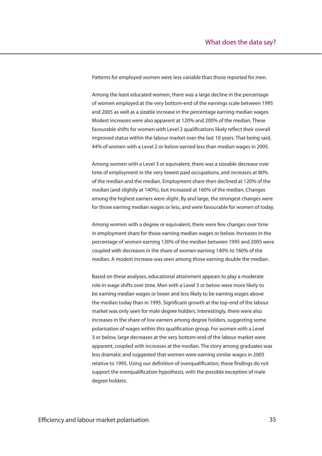Patterns for employed women were less variable than those reported for men.

Among the least educated women, there was a large decline in the percentage of women employed at the very bottom-end of the earnings scale between 1995 and 2005 as well as a sizable increase in the percentage earning median wages. Modest increases were also apparent at 120% and 200% of the median. These favourable shifts for women with Level 2 qualifications likely reflect their overall improved status within the labour market over the last 10 years. That being said, 44% of women with a Level 2 or below earned less than median wages in 2005.

Among women with a Level 3 or equivalent, there was a sizeable decrease over time of employment in the very lowest paid occupations, and increases at 80% of the median and the median. Employment share then declined at 120% of the median (and slightly at 140%), but increased at 160% of the median. Changes among the highest earners were slight. By and large, the strongest changes were for those earning median wages or less, and were favourable for women of today.

Among women with a degree or equivalent, there were few changes over time in employment share for those earning median wages or below. Increases in the percentage of women earning 120% of the median between 1995 and 2005 were coupled with decreases in the share of women earning 140% to 160% of the median. A modest increase was seen among those earning double the median.

Based on these analyses, educational attainment appears to play a moderate role in wage shifts over time. Men with a Level 3 or below were more likely to be earning median wages or lower and less likely to be earning wages above the median today than in 1995. Significant growth at the top-end of the labour market was only seen for male degree holders. Interestingly, there were also increases in the share of low earners among degree holders, suggesting some polarisation of wages within this qualification group. For women with a Level 3 or below, large decreases at the very bottom-end of the labour market were apparent, coupled with increases at the median. The story among graduates was less dramatic and suggested that women were earning similar wages in 2005 relative to 1995. Using our definition of overqualification, these findings do not support the overqualification hypothesis, with the possible exception of male degree holders.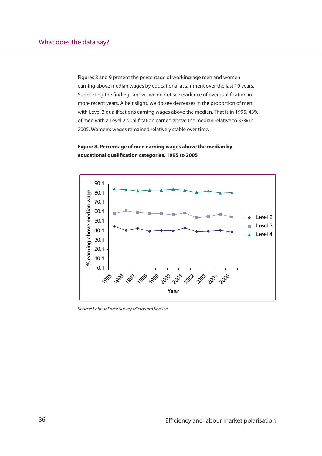Figures 8 and 9 present the percentage of working-age men and women earning above median wages by educational attainment over the last 10 years. Supporting the findings above, we do not see evidence of overqualification in more recent years. Albeit slight, we do see decreases in the proportion of men with Level 2 qualifications earning wages above the median. That is in 1995, 43% of men with a Level 2 qualification earned above the median relative to 37% in 2005. Women's wages remained relatively stable over time.



### **Figure 8. Percentage of men earning wages above the median by**  educational qualification categories, 1995 to 2005

Source: Labour Force Survey Microdata Service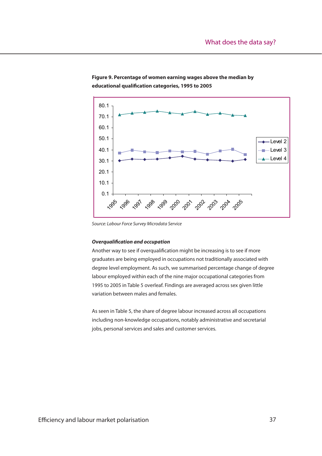

### **Figure 9. Percentage of women earning wages above the median by**  educational qualification categories, 1995 to 2005

Source: Labour Force Survey Microdata Service

### **Overqualification and occupation**

Another way to see if overqualification might be increasing is to see if more graduates are being employed in occupations not traditionally associated with degree level employment. As such, we summarised percentage change of degree labour employed within each of the nine major occupational categories from 1995 to 2005 in Table 5 overleaf. Findings are averaged across sex given little variation between males and females.

As seen in Table 5, the share of degree labour increased across all occupations including non-knowledge occupations, notably administrative and secretarial jobs, personal services and sales and customer services.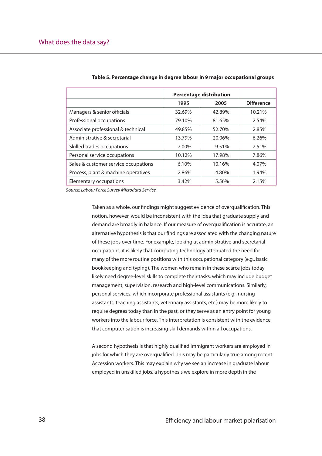|                                      | <b>Percentage distribution</b> |        |                   |
|--------------------------------------|--------------------------------|--------|-------------------|
|                                      | 1995                           | 2005   | <b>Difference</b> |
| Managers & senior officials          | 32.69%                         | 42.89% | 10.21%            |
| Professional occupations             | 79.10%                         | 81.65% | 2.54%             |
| Associate professional & technical   | 49.85%                         | 52.70% | 2.85%             |
| Administrative & secretarial         | 13.79%                         | 20.06% | 6.26%             |
| Skilled trades occupations           | 7.00%                          | 9.51%  | 2.51%             |
| Personal service occupations         | 10.12%                         | 17.98% | 7.86%             |
| Sales & customer service occupations | 6.10%                          | 10.16% | 4.07%             |
| Process, plant & machine operatives  | 2.86%                          | 4.80%  | 1.94%             |
| Elementary occupations               | 3.42%                          | 5.56%  | 2.15%             |

#### **Table 5. Percentage change in degree labour in 9 major occupational groups Table 5. Percentage change in degree labour in 9 major occupational groups**

Source: Labour Force Survey Microdata Service

Taken as a whole, our findings might suggest evidence of overqualification. This notion, however, would be inconsistent with the idea that graduate supply and demand are broadly in balance. If our measure of overqualification is accurate, an alternative hypothesis is that our findings are associated with the changing nature of these jobs over time. For example, looking at administrative and secretarial of these jobs over time. For example, looking at administrative and secretarial occupations, it is likely that computing technology attenuated the need for occupations, it is likely that computing technology attenuated the need for many of the more routine positions with this occupational category (e.g., basic many of the more routine positions with this occupational category (e.g., basic bookkeeping and typing). The women who remain in these scarce jobs today bookkeeping and typing). The women who remain in these scarce jobs today likely need degree-level skills to complete their tasks, which may include budget likely need degree-level skills to complete their tasks, which may include budget management, supervision, research and high-level communications. Similarly, management, supervision, research and high-level communications. Similarly, personal services, which incorporate professional assistants (e.g., nursing personal services, which incorporate professional assistants (e.g., nursing assistants, teaching assistants, veterinary assistants, etc.) may be more likely to assistants, teaching assistants, veterinary assistants, etc.) may be more likely to require degrees today than in the past, or they serve as an entry point for young require degrees today than in the past, or they serve as an entry point for young workers into the labour force. This interpretation is consistent with the evidence workers into the labour force. This interpretation is consistent with the evidence that computerisation is increasing skill demands within all occupations. that computerisation is increasing skill demands within all occupations.

A second hypothesis is that highly qualified immigrant workers are employed in jobs for which they are overqualified. This may be particularly true among recent Accession workers. This may explain why we see an increase in graduate labour labour employed in unskilled jobs, a hypothesis we explore in more depth in the employed in unskilled jobs, a hypothesis we explore in more depth in the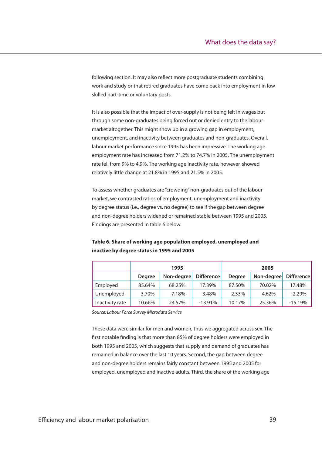following section. It may also reflect more postgraduate students combining work and study or that retired graduates have come back into employment in low skilled part-time or voluntary posts.

It is also possible that the impact of over-supply is not being felt in wages but through some non-graduates being forced out or denied entry to the labour market altogether. This might show up in a growing gap in employment, unemployment, and inactivity between graduates and non-graduates. Overall, labour market performance since 1995 has been impressive. The working age employment rate has increased from 71.2% to 74.7% in 2005. The unemployment rate fell from 9% to 4.9%. The working age inactivity rate, however, showed relatively little change at 21.8% in 1995 and 21.5% in 2005.

To assess whether graduates are "crowding" non-graduates out of the labour market, we contrasted ratios of employment, unemployment and inactivity by degree status (i.e., degree vs. no degree) to see if the gap between degree and non-degree holders widened or remained stable between 1995 and 2005. Findings are presented in table 6 below.

|                 | 1995          |            |                   |               | 2005       |            |
|-----------------|---------------|------------|-------------------|---------------|------------|------------|
|                 | <b>Degree</b> | Non-degree | <b>Difference</b> | <b>Degree</b> | Non-degree | Difference |
| Employed        | 85.64%        | 68.25%     | 17.39%            | 87.50%        | 70.02%     | 17.48%     |
| Unemployed      | 3.70%         | 7.18%      | $-3.48%$          | 2.33%         | 4.62%      | $-2.29%$   |
| Inactivity rate | 10.66%        | 24.57%     | $-13.91%$         | 10.17%        | 25.36%     | $-15.19%$  |

**Table 6. Share of working age population employed, unemployed and inactive by degree status in 1995 and 2005**

Source: Labour Force Survey Microdata Service

These data were similar for men and women, thus we aggregated across sex. The first notable finding is that more than 85% of degree holders were employed in both 1995 and 2005, which suggests that supply and demand of graduates has remained in balance over the last 10 years. Second, the gap between degree and non-degree holders remains fairly constant between 1995 and 2005 for employed, unemployed and inactive adults. Third, the share of the working age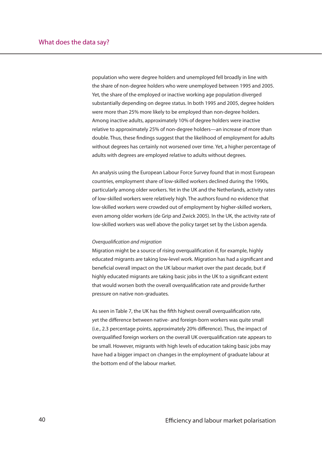population who were degree holders and unemployed fell broadly in line with the share of non-degree holders who were unemployed between 1995 and 2005. Yet, the share of the employed or inactive working age population diverged substantially depending on degree status. In both 1995 and 2005, degree holders were more than 25% more likely to be employed than non-degree holders. Among inactive adults, approximately 10% of degree holders were inactive relative to approximately 25% of non-degree holders—an increase of more than double. Thus, these findings suggest that the likelihood of employment for adults without degrees has certainly not worsened over time. Yet, a higher percentage of adults with degrees are employed relative to adults without degrees.

An analysis using the European Labour Force Survey found that in most European countries, employment share of low-skilled workers declined during the 1990s, particularly among older workers. Yet in the UK and the Netherlands, activity rates of low-skilled workers were relatively high. The authors found no evidence that low-skilled workers were crowded out of employment by higher-skilled workers, even among older workers (de Grip and Zwick 2005). In the UK, the activity rate of low-skilled workers was well above the policy target set by the Lisbon agenda.

### Overqualification and migration

Migration might be a source of rising overqualification if, for example, highly educated migrants are taking low-level work. Migration has had a significant and beneficial overall impact on the UK labour market over the past decade, but if highly educated migrants are taking basic jobs in the UK to a significant extent that would worsen both the overall overqualification rate and provide further pressure on native non-graduates.

As seen in Table 7, the UK has the fifth highest overall overqualification rate, yet the difference between native- and foreign-born workers was quite small (i.e., 2.3 percentage points, approximately 20% difference). Thus, the impact of overqualified foreign workers on the overall UK overqualification rate appears to be small. However, migrants with high levels of education taking basic jobs may have had a bigger impact on changes in the employment of graduate labour at the bottom end of the labour market.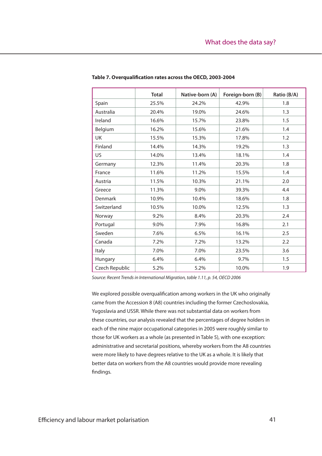|                | <b>Total</b> | Native-born (A) | Foreign-born (B) | Ratio (B/A) |
|----------------|--------------|-----------------|------------------|-------------|
| Spain          | 25.5%        | 24.2%           | 42.9%            | 1.8         |
| Australia      | 20.4%        | 19.0%           | 24.6%            | 1.3         |
| Ireland        | 16.6%        | 15.7%           | 23.8%            | 1.5         |
| Belgium        | 16.2%        | 15.6%           | 21.6%            | 1.4         |
| UK             | 15.5%        | 15.3%           | 17.8%            | 1.2         |
| Finland        | 14.4%        | 14.3%           | 19.2%            | 1.3         |
| US             | 14.0%        | 13.4%           | 18.1%            | 1.4         |
| Germany        | 12.3%        | 11.4%           | 20.3%            | 1.8         |
| France         | 11.6%        | 11.2%           | 15.5%            | 1.4         |
| Austria        | 11.5%        | 10.3%           | 21.1%            | 2.0         |
| Greece         | 11.3%        | 9.0%            | 39.3%            | 4.4         |
| Denmark        | 10.9%        | 10.4%           | 18.6%            | 1.8         |
| Switzerland    | 10.5%        | 10.0%           | 12.5%            | 1.3         |
| Norway         | 9.2%         | 8.4%            | 20.3%            | 2.4         |
| Portugal       | 9.0%         | 7.9%            | 16.8%            | 2.1         |
| Sweden         | 7.6%         | 6.5%            | 16.1%            | 2.5         |
| Canada         | 7.2%         | 7.2%            | 13.2%            | 2.2         |
| Italy          | 7.0%         | 7.0%            | 23.5%            | 3.6         |
| Hungary        | 6.4%         | 6.4%            | 9.7%             | 1.5         |
| Czech Republic | 5.2%         | 5.2%            | 10.0%            | 1.9         |

### Table 7. Overqualification rates across the OECD, 2003-2004

Source: Recent Trends in International Migration, table 1.11, p. 54, OECD 2006

We explored possible overqualification among workers in the UK who originally came from the Accession 8 (A8) countries including the former Czechoslovakia, Yugoslavia and USSR. While there was not substantial data on workers from these countries, our analysis revealed that the percentages of degree holders in each of the nine major occupational categories in 2005 were roughly similar to those for UK workers as a whole (as presented in Table 5), with one exception: administrative and secretarial positions, whereby workers from the A8 countries were more likely to have degrees relative to the UK as a whole. It is likely that better data on workers from the A8 countries would provide more revealing findings.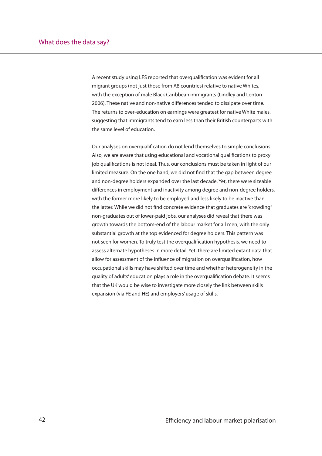A recent study using LFS reported that overqualification was evident for all migrant groups (not just those from A8 countries) relative to native Whites, with the exception of male Black Caribbean immigrants (Lindley and Lenton 2006). These native and non-native differences tended to dissipate over time. The returns to over-education on earnings were greatest for native White males, suggesting that immigrants tend to earn less than their British counterparts with the same level of education.

Our analyses on overqualification do not lend themselves to simple conclusions. Also, we are aware that using educational and vocational qualifications to proxy job qualifications is not ideal. Thus, our conclusions must be taken in light of our limited measure. On the one hand, we did not find that the gap between degree and non-degree holders expanded over the last decade. Yet, there were sizeable differences in employment and inactivity among degree and non-degree holders, with the former more likely to be employed and less likely to be inactive than the latter. While we did not find concrete evidence that graduates are "crowding" non-graduates out of lower-paid jobs, our analyses did reveal that there was growth towards the bottom-end of the labour market for all men, with the only substantial growth at the top evidenced for degree holders. This pattern was not seen for women. To truly test the overqualification hypothesis, we need to assess alternate hypotheses in more detail. Yet, there are limited extant data that allow for assessment of the influence of migration on overgualification, how occupational skills may have shifted over time and whether heterogeneity in the quality of adults' education plays a role in the overqualification debate. It seems that the UK would be wise to investigate more closely the link between skills expansion (via FE and HE) and employers' usage of skills.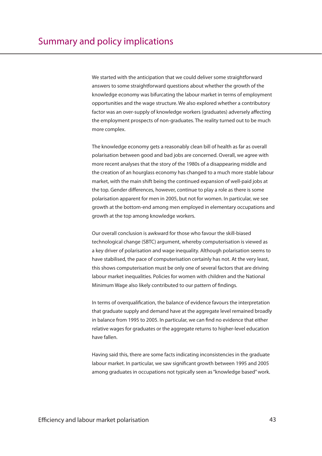We started with the anticipation that we could deliver some straightforward answers to some straightforward questions about whether the growth of the knowledge economy was bifurcating the labour market in terms of employment opportunities and the wage structure. We also explored whether a contributory factor was an over-supply of knowledge workers (graduates) adversely affecting the employment prospects of non-graduates. The reality turned out to be much more complex.

The knowledge economy gets a reasonably clean bill of health as far as overall polarisation between good and bad jobs are concerned. Overall, we agree with more recent analyses that the story of the 1980s of a disappearing middle and the creation of an hourglass economy has changed to a much more stable labour market, with the main shift being the continued expansion of well-paid jobs at the top. Gender differences, however, continue to play a role as there is some polarisation apparent for men in 2005, but not for women. In particular, we see growth at the bottom-end among men employed in elementary occupations and growth at the top among knowledge workers.

Our overall conclusion is awkward for those who favour the skill-biased technological change (SBTC) argument, whereby computerisation is viewed as a key driver of polarisation and wage inequality. Although polarisation seems to have stabilised, the pace of computerisation certainly has not. At the very least, this shows computerisation must be only one of several factors that are driving labour market inequalities. Policies for women with children and the National Minimum Wage also likely contributed to our pattern of findings.

In terms of overqualification, the balance of evidence favours the interpretation that graduate supply and demand have at the aggregate level remained broadly in balance from 1995 to 2005. In particular, we can find no evidence that either relative wages for graduates or the aggregate returns to higher-level education have fallen.

Having said this, there are some facts indicating inconsistencies in the graduate labour market. In particular, we saw significant growth between 1995 and 2005 among graduates in occupations not typically seen as "knowledge based" work.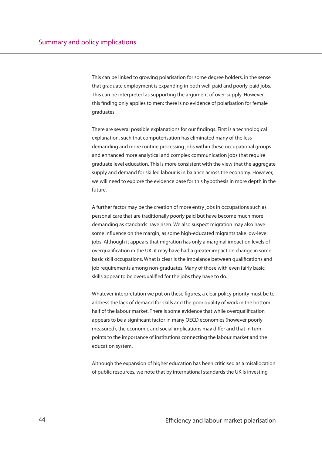This can be linked to growing polarisation for some degree holders, in the sense that graduate employment is expanding in both well-paid and poorly-paid jobs. This can be interpreted as supporting the argument of over-supply. However, this finding only applies to men: there is no evidence of polarisation for female graduates.

There are several possible explanations for our findings. First is a technological explanation, such that computerisation has eliminated many of the less demanding and more routine processing jobs within these occupational groups and enhanced more analytical and complex communication jobs that require graduate level education. This is more consistent with the view that the aggregate supply and demand for skilled labour is in balance across the economy. However, we will need to explore the evidence base for this hypothesis in more depth in the future.

A further factor may be the creation of more entry jobs in occupations such as personal care that are traditionally poorly paid but have become much more demanding as standards have risen. We also suspect migration may also have some influence on the margin, as some high-educated migrants take low-level jobs. Although it appears that migration has only a marginal impact on levels of overqualification in the UK, it may have had a greater impact on change in some basic skill occupations. What is clear is the imbalance between qualifications and job requirements among non-graduates. Many of those with even fairly basic skills appear to be overqualified for the jobs they have to do.

Whatever interpretation we put on these figures, a clear policy priority must be to address the lack of demand for skills and the poor quality of work in the bottom half of the labour market. There is some evidence that while overqualification appears to be a significant factor in many OECD economies (however poorly measured), the economic and social implications may differ and that in turn points to the importance of institutions connecting the labour market and the education system.

Although the expansion of higher education has been criticised as a misallocation of public resources, we note that by international standards the UK is investing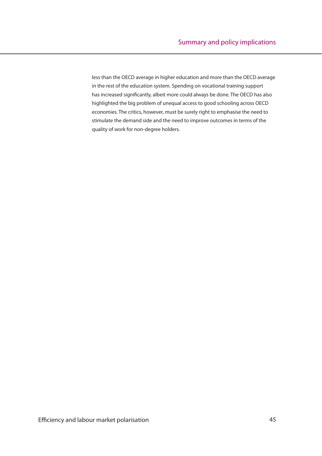less than the OECD average in higher education and more than the OECD average in the rest of the education system. Spending on vocational training support has increased significantly, albeit more could always be done. The OECD has also highlighted the big problem of unequal access to good schooling across OECD economies. The critics, however, must be surely right to emphasise the need to stimulate the demand side and the need to improve outcomes in terms of the quality of work for non-degree holders.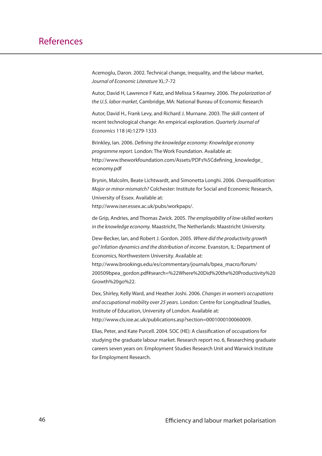Acemoglu, Daron. 2002. Technical change, inequality, and the labour market, Journal of Economic Literature XL:7-72

Autor, David H, Lawrence F Katz, and Melissa S Kearney. 2006. The polarization of the U.S. labor market, Cambridge, MA: National Bureau of Economic Research

Autor, David H., Frank Levy, and Richard J. Murnane. 2003. The skill content of recent technological change: An empirical exploration. Quarterly Journal of Economics 118 (4):1279-1333

Brinkley, Ian. 2006. Defining the knowledge economy: Knowledge economy programme report. London: The Work Foundation. Available at: http://www.theworkfoundation.com/Assets/PDFs%5Cdefining\_knowledge economy.pdf

Brynin, Malcolm, Beate Lichtwardt, and Simonetta Longhi. 2006. Overqualification: Major or minor mismatch? Colchester: Institute for Social and Economic Research, University of Essex. Available at:

http://www.iser.essex.ac.uk/pubs/workpaps/.

de Grip, Andries, and Thomas Zwick. 2005. The employability of low-skilled workers in the knowledge economy. Maastricht, The Netherlands: Maastricht University.

Dew-Becker, Ian, and Robert J. Gordon. 2005. Where did the productivity growth go? Infation dynamics and the distribution of income. Evanston, IL: Department of Economics, Northwestern University. Available at:

http://www.brookings.edu/es/commentary/journals/bpea\_macro/forum/ 200509bpea\_gordon.pdf#search=%22Where%20Did%20the%20Productivity%20 Growth%20go%22.

Dex, Shirley, Kelly Ward, and Heather Joshi. 2006. Changes in women's occupations and occupational mobility over 25 years. London: Centre for Longitudinal Studies, Institute of Education, University of London. Available at: http://www.cls.ioe.ac.uk/publications.asp?section=0001000100060009.

Elias, Peter, and Kate Purcell, 2004, SOC (HE): A classification of occupations for studying the graduate labour market. Research report no. 6, Researching graduate careers seven years on: Employment Studies Research Unit and Warwick Institute for Employment Research.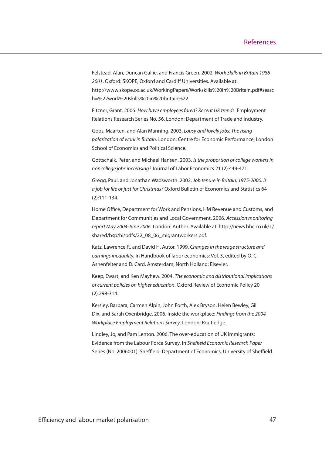Felstead, Alan, Duncan Gallie, and Francis Green. 2002. Work Skills in Britain 1986- 2001. Oxford: SKOPE, Oxford and Cardiff Universities. Available at: http://www.skope.ox.ac.uk/WorkingPapers/Workskills%20in%20Britain.pdf#searc h=%22work%20skills%20in%20britain%22.

Fitzner, Grant. 2006. How have employees fared? Recent UK trends. Employment Relations Research Series No. 56. London: Department of Trade and Industry.

Goos, Maarten, and Alan Manning. 2003. Lousy and lovely jobs: The rising polarization of work in Britain. London: Centre for Economic Performance, London School of Economics and Political Science.

Gottschalk, Peter, and Michael Hansen. 2003. Is the proportion of college workers in noncollege jobs increasing? Journal of Labor Economics 21 (2):449-471.

Gregg, Paul, and Jonathan Wadsworth. 2002. Job tenure in Britain, 1975-2000. Is a job for life or just for Christmas? Oxford Bulletin of Economics and Statistics 64 (2):111-134.

Home Office, Department for Work and Pensions, HM Revenue and Customs, and Department for Communities and Local Government. 2006. Accession monitoring report May 2004-June 2006. London: Author. Available at: http://news.bbc.co.uk/1/ shared/bsp/hi/pdfs/22\_08\_06\_migrantworkers.pdf.

Katz, Lawrence F., and David H. Autor. 1999. Changes in the wage structure and earnings inequality. In Handbook of labor economics: Vol. 3, edited by O. C. Ashenfelter and D. Card. Amsterdam, North Holland: Elsevier.

Keep, Ewart, and Ken Mayhew. 2004. The economic and distributional implications of current policies on higher education. Oxford Review of Economic Policy 20 (2):298-314.

Kersley, Barbara, Carmen Alpin, John Forth, Alex Bryson, Helen Bewley, Gill Dix, and Sarah Oxenbridge. 2006. Inside the workplace: Findings from the 2004 Workplace Employment Relations Survey. London: Routledge.

Lindley, Jo, and Pam Lenton. 2006. The over-education of UK immigrants: Evidence from the Labour Force Survey. In Sheffield Economic Research Paper Series (No. 2006001). Sheffield: Department of Economics, University of Sheffield.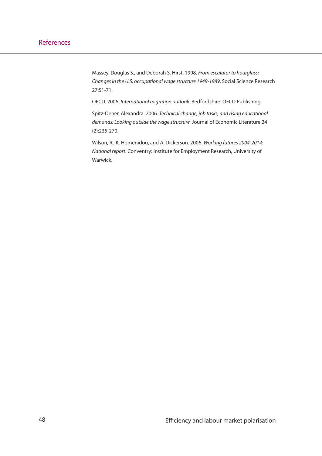Massey, Douglas S., and Deborah S. Hirst. 1998. From escalator to hourglass: Changes in the U.S. occupational wage structure 1949-1989. Social Science Research 27:51-71.

OECD. 2006. International migration outlook. Bedfordshire: OECD Publishing.

Spitz-Oener, Alexandra. 2006. Technical change, job tasks, and rising educational demands: Looking outside the wage structure. Journal of Economic Literature 24 (2):235-270.

Wilson, R., K. Homenidou, and A. Dickerson. 2006. Working futures 2004-2014: National report. Conventry: Institute for Employment Research, University of Warwick.